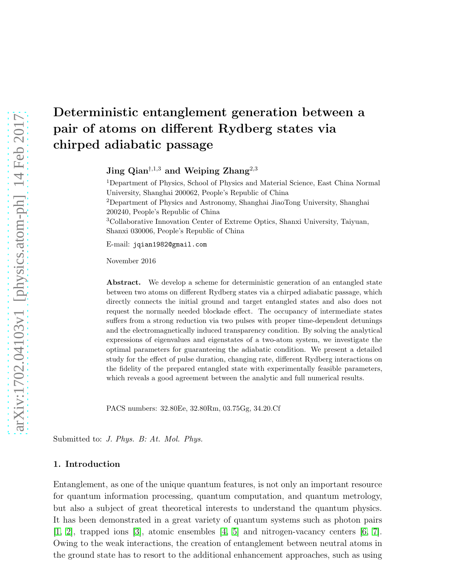# Deterministic entanglement generation between a pair of atoms on different Rydberg states via chirped adiabatic passage

Jing  $\mathrm{Qian}^{\dagger,1,3}$  and Weiping Zhang<sup>2,3</sup>

<sup>1</sup>Department of Physics, School of Physics and Material Science, East China Normal University, Shanghai 200062, People's Republic of China <sup>2</sup>Department of Physics and Astronomy, Shanghai JiaoTong University, Shanghai 200240, People's Republic of China <sup>3</sup>Collaborative Innovation Center of Extreme Optics, Shanxi University, Taiyuan, Shanxi 030006, People's Republic of China

E-mail: jqian1982@gmail.com

November 2016

Abstract. We develop a scheme for deterministic generation of an entangled state between two atoms on different Rydberg states via a chirped adiabatic passage, which directly connects the initial ground and target entangled states and also does not request the normally needed blockade effect. The occupancy of intermediate states suffers from a strong reduction via two pulses with proper time-dependent detunings and the electromagnetically induced transparency condition. By solving the analytical expressions of eigenvalues and eigenstates of a two-atom system, we investigate the optimal parameters for guaranteeing the adiabatic condition. We present a detailed study for the effect of pulse duration, changing rate, different Rydberg interactions on the fidelity of the prepared entangled state with experimentally feasible parameters, which reveals a good agreement between the analytic and full numerical results.

PACS numbers: 32.80Ee, 32.80Rm, 03.75Gg, 34.20.Cf

Submitted to: *J. Phys. B: At. Mol. Phys.*

#### 1. Introduction

Entanglement, as one of the unique quantum features, is not only an important resource for quantum information processing, quantum computation, and quantum metrology, but also a subject of great theoretical interests to understand the quantum physics. It has been demonstrated in a great variety of quantum systems such as photon pairs [\[1,](#page-12-0) [2\]](#page-12-1), trapped ions [\[3\]](#page-12-2), atomic ensembles [\[4,](#page-12-3) [5\]](#page-12-4) and nitrogen-vacancy centers [\[6,](#page-12-5) [7\]](#page-12-6). Owing to the weak interactions, the creation of entanglement between neutral atoms in the ground state has to resort to the additional enhancement approaches, such as using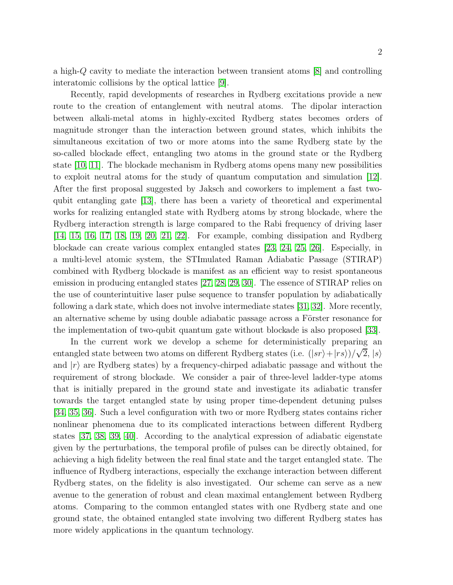a high-Q cavity to mediate the interaction between transient atoms [\[8\]](#page-12-7) and controlling interatomic collisions by the optical lattice [\[9\]](#page-12-8).

Recently, rapid developments of researches in Rydberg excitations provide a new route to the creation of entanglement with neutral atoms. The dipolar interaction between alkali-metal atoms in highly-excited Rydberg states becomes orders of magnitude stronger than the interaction between ground states, which inhibits the simultaneous excitation of two or more atoms into the same Rydberg state by the so-called blockade effect, entangling two atoms in the ground state or the Rydberg state [\[10,](#page-12-9) [11\]](#page-12-10). The blockade mechanism in Rydberg atoms opens many new possibilities to exploit neutral atoms for the study of quantum computation and simulation [\[12\]](#page-12-11). After the first proposal suggested by Jaksch and coworkers to implement a fast twoqubit entangling gate [\[13\]](#page-12-12), there has been a variety of theoretical and experimental works for realizing entangled state with Rydberg atoms by strong blockade, where the Rydberg interaction strength is large compared to the Rabi frequency of driving laser [\[14,](#page-13-0) [15,](#page-13-1) [16,](#page-13-2) [17,](#page-13-3) [18,](#page-13-4) [19,](#page-13-5) [20,](#page-13-6) [21,](#page-13-7) [22\]](#page-13-8). For example, combing dissipation and Rydberg blockade can create various complex entangled states [\[23,](#page-13-9) [24,](#page-13-10) [25,](#page-13-11) [26\]](#page-13-12). Especially, in a multi-level atomic system, the STImulated Raman Adiabatic Passage (STIRAP) combined with Rydberg blockade is manifest as an efficient way to resist spontaneous emission in producing entangled states [\[27,](#page-13-13) [28,](#page-13-14) [29,](#page-13-15) [30\]](#page-13-16). The essence of STIRAP relies on the use of counterintuitive laser pulse sequence to transfer population by adiabatically following a dark state, which does not involve intermediate states [\[31,](#page-13-17) [32\]](#page-13-18). More recently, an alternative scheme by using double adiabatic passage across a Förster resonance for the implementation of two-qubit quantum gate without blockade is also proposed [\[33\]](#page-13-19).

In the current work we develop a scheme for deterministically preparing an entangled state between two atoms on different Rydberg states (i.e.  $(|sr\rangle + |rs\rangle)/\sqrt{2}$ ,  $|s\rangle$ and  $|r\rangle$  are Rydberg states) by a frequency-chirped adiabatic passage and without the requirement of strong blockade. We consider a pair of three-level ladder-type atoms that is initially prepared in the ground state and investigate its adiabatic transfer towards the target entangled state by using proper time-dependent detuning pulses [\[34,](#page-13-20) [35,](#page-13-21) [36\]](#page-13-22). Such a level configuration with two or more Rydberg states contains richer nonlinear phenomena due to its complicated interactions between different Rydberg states [\[37,](#page-13-23) [38,](#page-13-24) [39,](#page-13-25) [40\]](#page-13-26). According to the analytical expression of adiabatic eigenstate given by the perturbations, the temporal profile of pulses can be directly obtained, for achieving a high fidelity between the real final state and the target entangled state. The influence of Rydberg interactions, especially the exchange interaction between different Rydberg states, on the fidelity is also investigated. Our scheme can serve as a new avenue to the generation of robust and clean maximal entanglement between Rydberg atoms. Comparing to the common entangled states with one Rydberg state and one ground state, the obtained entangled state involving two different Rydberg states has more widely applications in the quantum technology.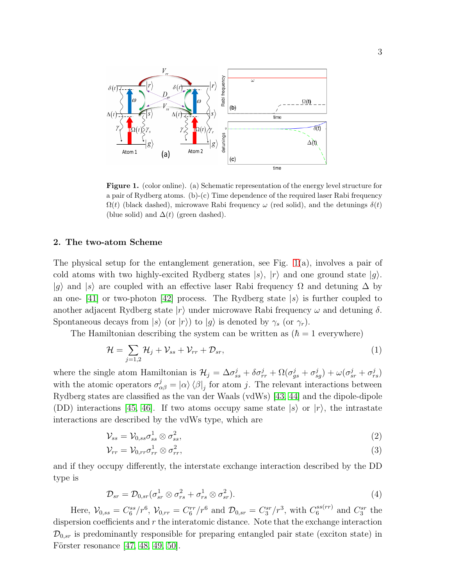

<span id="page-2-0"></span>Figure 1. (color online). (a) Schematic representation of the energy level structure for a pair of Rydberg atoms. (b)- $(c)$  Time dependence of the required laser Rabi frequency  $\Omega(t)$  (black dashed), microwave Rabi frequency  $\omega$  (red solid), and the detunings  $\delta(t)$ (blue solid) and  $\Delta(t)$  (green dashed).

# 2. The two-atom Scheme

The physical setup for the entanglement generation, see Fig.  $1(a)$ , involves a pair of cold atoms with two highly-excited Rydberg states  $|s\rangle$ ,  $|r\rangle$  and one ground state  $|g\rangle$ .  $|g\rangle$  and  $|s\rangle$  are coupled with an effective laser Rabi frequency  $\Omega$  and detuning  $\Delta$  by an one-  $[41]$  or two-photon  $[42]$  process. The Rydberg state  $|s\rangle$  is further coupled to another adjacent Rydberg state  $|r\rangle$  under microwave Rabi frequency  $\omega$  and detuning  $\delta$ . Spontaneous decays from  $|s\rangle$  (or  $|r\rangle$ ) to  $|g\rangle$  is denoted by  $\gamma_s$  (or  $\gamma_r$ ).

The Hamiltonian describing the system can be written as  $(\hbar = 1$  everywhere)

<span id="page-2-1"></span>
$$
\mathcal{H} = \sum_{j=1,2} \mathcal{H}_j + \mathcal{V}_{ss} + \mathcal{V}_{rr} + \mathcal{D}_{sr},\tag{1}
$$

where the single atom Hamiltonian is  $\mathcal{H}_j = \Delta \sigma_{ss}^j + \delta \sigma_{rr}^j + \Omega (\sigma_{gs}^j + \sigma_{sg}^j) + \omega (\sigma_{sr}^j + \sigma_{rs}^j)$ with the atomic operators  $\sigma_{\alpha\beta}^{j} = |\alpha\rangle \langle \beta|_{j}$  for atom j. The relevant interactions between Rydberg states are classified as the van der Waals (vdWs) [\[43,](#page-13-29) [44\]](#page-13-30) and the dipole-dipole (DD) interactions [\[45,](#page-13-31) [46\]](#page-13-32). If two atoms occupy same state  $|s\rangle$  or  $|r\rangle$ , the intrastate interactions are described by the vdWs type, which are

$$
\mathcal{V}_{ss} = \mathcal{V}_{0,ss} \sigma_{ss}^1 \otimes \sigma_{ss}^2,\tag{2}
$$

$$
\mathcal{V}_{rr} = \mathcal{V}_{0,rr}\sigma_{rr}^1 \otimes \sigma_{rr}^2,\tag{3}
$$

and if they occupy differently, the interstate exchange interaction described by the DD type is

$$
\mathcal{D}_{sr} = \mathcal{D}_{0,sr}(\sigma_{sr}^1 \otimes \sigma_{rs}^2 + \sigma_{rs}^1 \otimes \sigma_{sr}^2). \tag{4}
$$

Here,  $V_{0,ss} = C_6^{ss}/r^6$ ,  $V_{0,rr} = C_6^{rr}/r^6$  and  $\mathcal{D}_{0,sr} = C_3^{sr}/r^3$ , with  $C_6^{ss(rr)}$  and  $C_3^{sr}$  the dispersion coefficients and  $r$  the interatomic distance. Note that the exchange interaction  $\mathcal{D}_{0,sr}$  is predominantly responsible for preparing entangled pair state (exciton state) in Förster resonance  $[47, 48, 49, 50]$  $[47, 48, 49, 50]$  $[47, 48, 49, 50]$  $[47, 48, 49, 50]$ .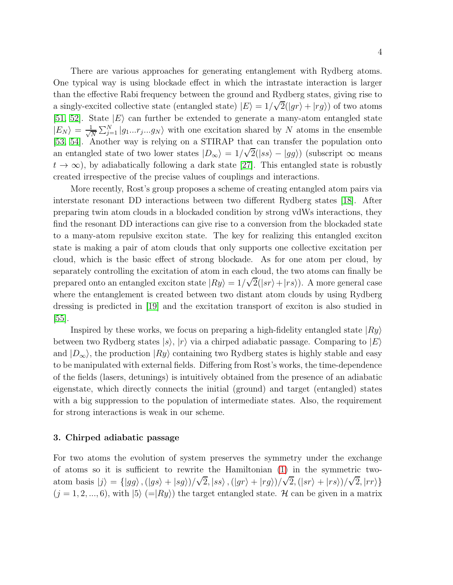There are various approaches for generating entanglement with Rydberg atoms. One typical way is using blockade effect in which the intrastate interaction is larger than the effective Rabi frequency between the ground and Rydberg states, giving rise to a singly-excited collective state (entangled state)  $|E\rangle = 1/\sqrt{2}(|gr\rangle + |rg\rangle)$  of two atoms [\[51,](#page-13-37) [52\]](#page-13-38). State  $|E\rangle$  can further be extended to generate a many-atom entangled state  $|E_N\rangle = \frac{1}{\sqrt{n}}$  $\frac{1}{N} \sum_{j=1}^{N} |g_1...r_j...g_N\rangle$  with one excitation shared by N atoms in the ensemble [\[53,](#page-14-0) [54\]](#page-14-1). Another way is relying on a STIRAP that can transfer the population onto an entangled state of two lower states  $|D_{\infty}\rangle = 1/\sqrt{2}(|ss\rangle - |gg\rangle)$  (subscript  $\infty$  means  $t \to \infty$ ), by adiabatically following a dark state [\[27\]](#page-13-13). This entangled state is robustly created irrespective of the precise values of couplings and interactions.

More recently, Rost's group proposes a scheme of creating entangled atom pairs via interstate resonant DD interactions between two different Rydberg states [\[18\]](#page-13-4). After preparing twin atom clouds in a blockaded condition by strong vdWs interactions, they find the resonant DD interactions can give rise to a conversion from the blockaded state to a many-atom repulsive exciton state. The key for realizing this entangled exciton state is making a pair of atom clouds that only supports one collective excitation per cloud, which is the basic effect of strong blockade. As for one atom per cloud, by separately controlling the excitation of atom in each cloud, the two atoms can finally be prepared onto an entangled exciton state  $|Ry\rangle = 1/\sqrt{2}(|sr\rangle + |rs\rangle)$ . A more general case where the entanglement is created between two distant atom clouds by using Rydberg dressing is predicted in [\[19\]](#page-13-5) and the excitation transport of exciton is also studied in [\[55\]](#page-14-2).

Inspired by these works, we focus on preparing a high-fidelity entangled state  $|R_y\rangle$ between two Rydberg states  $|s\rangle$ ,  $|r\rangle$  via a chirped adiabatic passage. Comparing to  $|E\rangle$ and  $|D_{\infty}\rangle$ , the production  $|R_y\rangle$  containing two Rydberg states is highly stable and easy to be manipulated with external fields. Differing from Rost's works, the time-dependence of the fields (lasers, detunings) is intuitively obtained from the presence of an adiabatic eigenstate, which directly connects the initial (ground) and target (entangled) states with a big suppression to the population of intermediate states. Also, the requirement for strong interactions is weak in our scheme.

## 3. Chirped adiabatic passage

For two atoms the evolution of system preserves the symmetry under the exchange of atoms so it is sufficient to rewrite the Hamiltonian [\(1\)](#page-2-1) in the symmetric twoatom basis  $|j\rangle = \{ |gg\rangle, (|gs\rangle + |sg\rangle)/\sqrt{2}, |ss\rangle, (|gr\rangle + |rg\rangle)/\sqrt{2}, (|sr\rangle + |rs\rangle)/\sqrt{2}, |rr\rangle \}$  $(j = 1, 2, ..., 6)$ , with  $|5\rangle$  (= $|Ry\rangle$ ) the target entangled state. H can be given in a matrix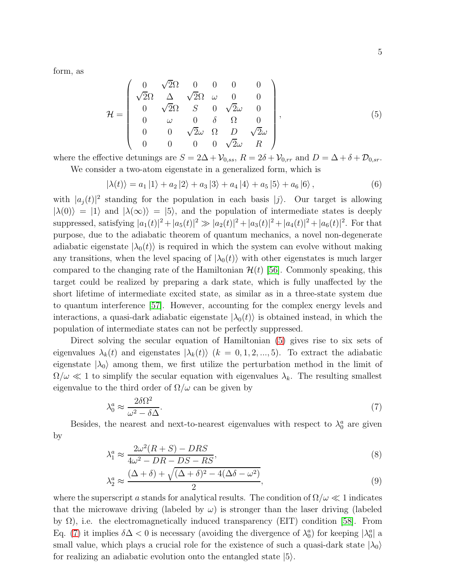form, as

<span id="page-4-0"></span>
$$
\mathcal{H} = \begin{pmatrix}\n0 & \sqrt{2}\Omega & 0 & 0 & 0 & 0 \\
\sqrt{2}\Omega & \Delta & \sqrt{2}\Omega & \omega & 0 & 0 \\
0 & \sqrt{2}\Omega & S & 0 & \sqrt{2}\omega & 0 \\
0 & \omega & 0 & \delta & \Omega & 0 \\
0 & 0 & \sqrt{2}\omega & \Omega & D & \sqrt{2}\omega \\
0 & 0 & 0 & 0 & \sqrt{2}\omega & R\n\end{pmatrix},
$$
\n(5)

where the effective detunings are  $S = 2\Delta + \mathcal{V}_{0,ss}$ ,  $R = 2\delta + \mathcal{V}_{0,rr}$  and  $D = \Delta + \delta + \mathcal{D}_{0,sr}$ .

We consider a two-atom eigenstate in a generalized form, which is

$$
|\lambda(t)\rangle = a_1 |1\rangle + a_2 |2\rangle + a_3 |3\rangle + a_4 |4\rangle + a_5 |5\rangle + a_6 |6\rangle, \qquad (6)
$$

with  $|a_j(t)|^2$  standing for the population in each basis  $|j\rangle$ . Our target is allowing  $|\lambda(0)\rangle = |1\rangle$  and  $|\lambda(\infty)\rangle = |5\rangle$ , and the population of intermediate states is deeply suppressed, satisfying  $|a_1(t)|^2 + |a_5(t)|^2 \gg |a_2(t)|^2 + |a_3(t)|^2 + |a_4(t)|^2 + |a_6(t)|^2$ . For that purpose, due to the adiabatic theorem of quantum mechanics, a novel non-degenerate adiabatic eigenstate  $|\lambda_0(t)\rangle$  is required in which the system can evolve without making any transitions, when the level spacing of  $|\lambda_0(t)\rangle$  with other eigenstates is much larger compared to the changing rate of the Hamiltonian  $\mathcal{H}(t)$  [\[56\]](#page-14-3). Commonly speaking, this target could be realized by preparing a dark state, which is fully unaffected by the short lifetime of intermediate excited state, as similar as in a three-state system due to quantum interference [\[57\]](#page-14-4). However, accounting for the complex energy levels and interactions, a quasi-dark adiabatic eigenstate  $|\lambda_0(t)\rangle$  is obtained instead, in which the population of intermediate states can not be perfectly suppressed.

Direct solving the secular equation of Hamiltonian [\(5\)](#page-4-0) gives rise to six sets of eigenvalues  $\lambda_k(t)$  and eigenstates  $|\lambda_k(t)\rangle$  ( $k = 0, 1, 2, ..., 5$ ). To extract the adiabatic eigenstate  $|\lambda_0\rangle$  among them, we first utilize the perturbation method in the limit of  $\Omega/\omega \ll 1$  to simplify the secular equation with eigenvalues  $\lambda_k$ . The resulting smallest eigenvalue to the third order of  $\Omega/\omega$  can be given by

<span id="page-4-1"></span>
$$
\lambda_0^a \approx \frac{2\delta\Omega^2}{\omega^2 - \delta\Delta}.\tag{7}
$$

Besides, the nearest and next-to-nearest eigenvalues with respect to  $\lambda_0^a$  are given by

$$
\lambda_1^a \approx \frac{2\omega^2 (R+S) - DRS}{4\omega^2 - DR - DS - RS},\tag{8}
$$

$$
\lambda_2^a \approx \frac{(\Delta + \delta) + \sqrt{(\Delta + \delta)^2 - 4(\Delta\delta - \omega^2)}}{2},\tag{9}
$$

where the superscript a stands for analytical results. The condition of  $\Omega/\omega \ll 1$  indicates that the microwave driving (labeled by  $\omega$ ) is stronger than the laser driving (labeled by  $\Omega$ ), i.e. the electromagnetically induced transparency (EIT) condition [\[58\]](#page-14-5). From Eq. [\(7\)](#page-4-1) it implies  $\delta \Delta < 0$  is necessary (avoiding the divergence of  $\lambda_0^a$ ) for keeping  $|\lambda_0^a|$  a small value, which plays a crucial role for the existence of such a quasi-dark state  $|\lambda_0\rangle$ for realizing an adiabatic evolution onto the entangled state  $|5\rangle$ .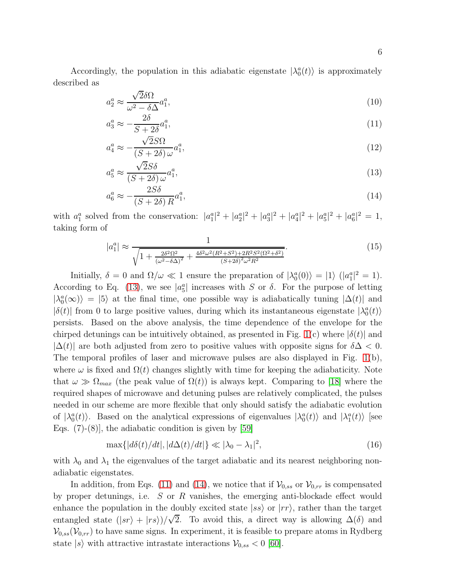Accordingly, the population in this adiabatic eigenstate  $|\lambda_0^a(t)\rangle$  is approximately described as

<span id="page-5-0"></span>
$$
a_2^a \approx \frac{\sqrt{2}\delta\Omega}{\omega^2 - \delta\Delta} a_1^a,\tag{10}
$$

$$
a_3^a \approx -\frac{2\delta}{S + 2\delta} a_1^a,\tag{11}
$$

$$
a_4^a \approx -\frac{\sqrt{2}S\Omega}{(S+2\delta)\,\omega}a_1^a,\tag{12}
$$

$$
a_5^a \approx \frac{\sqrt{2}S\delta}{(S+2\delta)\,\omega}a_1^a,\tag{13}
$$

$$
a_6^a \approx -\frac{2S\delta}{(S+2\delta)R}a_1^a,\tag{14}
$$

with  $a_1^a$  solved from the conservation:  $|a_1^a|^2 + |a_2^a|^2 + |a_3^a|^2 + |a_4^a|^2 + |a_5^a|^2 + |a_6^a|^2 = 1$ , taking form of

$$
|a_1^a| \approx \frac{1}{\sqrt{1 + \frac{2\delta^2 \Omega^2}{(\omega^2 - \delta \Delta)^2} + \frac{4\delta^2 \omega^2 (R^2 + S^2) + 2R^2 S^2 (\Omega^2 + \delta^2)}{(S + 2\delta)^2 \omega^2 R^2}}}.
$$
(15)

Initially,  $\delta = 0$  and  $\Omega/\omega \ll 1$  ensure the preparation of  $|\lambda_0^a(0)\rangle = |1\rangle$  ( $|a_1^a|^2 = 1$ ). According to Eq. [\(13\)](#page-5-0), we see  $|a_5^a|$  increases with S or  $\delta$ . For the purpose of letting  $|\lambda_0^a(\infty)\rangle = |5\rangle$  at the final time, one possible way is adiabatically tuning  $|\Delta(t)|$  and  $|\delta(t)|$  from 0 to large positive values, during which its instantaneous eigenstate  $|\lambda_0^a(t)\rangle$ persists. Based on the above analysis, the time dependence of the envelope for the chirped detunings can be intuitively obtained, as presented in Fig. [1\(](#page-2-0)c) where  $|\delta(t)|$  and  $|\Delta(t)|$  are both adjusted from zero to positive values with opposite signs for  $\delta\Delta < 0$ . The temporal profiles of laser and microwave pulses are also displayed in Fig. [1\(](#page-2-0)b), where  $\omega$  is fixed and  $\Omega(t)$  changes slightly with time for keeping the adiabaticity. Note that  $\omega \gg \Omega_{max}$  (the peak value of  $\Omega(t)$ ) is always kept. Comparing to [\[18\]](#page-13-4) where the required shapes of microwave and detuning pulses are relatively complicated, the pulses needed in our scheme are more flexible that only should satisfy the adiabatic evolution of  $|\lambda_0^a(t)\rangle$ . Based on the analytical expressions of eigenvalues  $|\lambda_0^a(t)\rangle$  and  $|\lambda_1^a(t)\rangle$  [see Eqs.  $(7)-(8)$ , the adiabatic condition is given by [\[59\]](#page-14-6)

<span id="page-5-1"></span>
$$
\max\{|d\delta(t)/dt|, |d\Delta(t)/dt|\} \ll |\lambda_0 - \lambda_1|^2,\tag{16}
$$

with  $\lambda_0$  and  $\lambda_1$  the eigenvalues of the target adiabatic and its nearest neighboring nonadiabatic eigenstates.

In addition, from Eqs. [\(11\)](#page-5-0) and [\(14\)](#page-5-0), we notice that if  $\mathcal{V}_{0,ss}$  or  $\mathcal{V}_{0,rr}$  is compensated by proper detunings, i.e. S or R vanishes, the emerging anti-blockade effect would enhance the population in the doubly excited state  $|ss\rangle$  or  $|rr\rangle$ , rather than the target entangled state  $(|sr\rangle + |rs\rangle)/\sqrt{2}$ . To avoid this, a direct way is allowing  $\Delta(\delta)$  and  $\mathcal{V}_{0,ss}(\mathcal{V}_{0,rr})$  to have same signs. In experiment, it is feasible to prepare atoms in Rydberg state  $|s\rangle$  with attractive intrastate interactions  $\mathcal{V}_{0,ss} < 0$  [\[60\]](#page-14-7).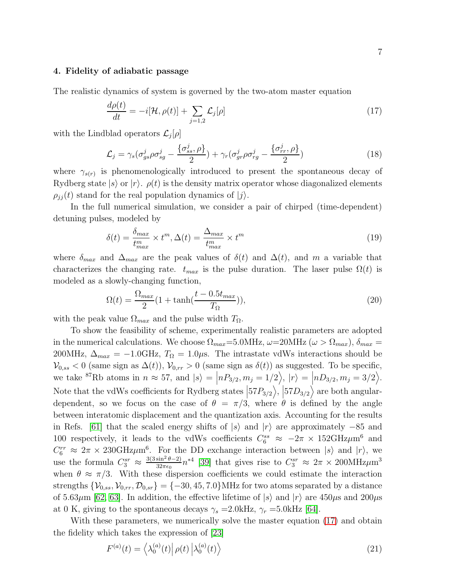# 4. Fidelity of adiabatic passage

The realistic dynamics of system is governed by the two-atom master equation

<span id="page-6-0"></span>
$$
\frac{d\rho(t)}{dt} = -i[\mathcal{H}, \rho(t)] + \sum_{j=1,2} \mathcal{L}_j[\rho]
$$
\n(17)

with the Lindblad operators  $\mathcal{L}_j[\rho]$ 

$$
\mathcal{L}_j = \gamma_s (\sigma_{gs}^j \rho \sigma_{sg}^j - \frac{\{\sigma_{ss}^j, \rho\}}{2}) + \gamma_r (\sigma_{gr}^j \rho \sigma_{rg}^j - \frac{\{\sigma_{rr}^j, \rho\}}{2}) \tag{18}
$$

where  $\gamma_{s(r)}$  is phenomenologically introduced to present the spontaneous decay of Rydberg state  $|s\rangle$  or  $|r\rangle$ .  $\rho(t)$  is the density matrix operator whose diagonalized elements  $\rho_{ij}(t)$  stand for the real population dynamics of  $|j\rangle$ .

In the full numerical simulation, we consider a pair of chirped (time-dependent) detuning pulses, modeled by

<span id="page-6-1"></span>
$$
\delta(t) = \frac{\delta_{max}}{t_{max}^m} \times t^m, \Delta(t) = \frac{\Delta_{max}}{t_{max}^m} \times t^m
$$
\n(19)

where  $\delta_{max}$  and  $\Delta_{max}$  are the peak values of  $\delta(t)$  and  $\Delta(t)$ , and m a variable that characterizes the changing rate.  $t_{max}$  is the pulse duration. The laser pulse  $\Omega(t)$  is modeled as a slowly-changing function,

$$
\Omega(t) = \frac{\Omega_{max}}{2} (1 + \tanh(\frac{t - 0.5t_{max}}{T_{\Omega}})),\tag{20}
$$

with the peak value  $\Omega_{max}$  and the pulse width  $T_{\Omega}$ .

To show the feasibility of scheme, experimentally realistic parameters are adopted in the numerical calculations. We choose  $\Omega_{max}=5.0 \text{MHz}$ ,  $\omega=20 \text{MHz}$  ( $\omega > \Omega_{max}$ ),  $\delta_{max}=$ 200MHz,  $\Delta_{max} = -1.0 \text{GHz}, T_{\Omega} = 1.0 \mu \text{s}$ . The intrastate vdWs interactions should be  $\mathcal{V}_{0,ss} < 0$  (same sign as  $\Delta(t)$ ),  $\mathcal{V}_{0,rr} > 0$  (same sign as  $\delta(t)$ ) as suggested. To be specific, we take <sup>87</sup>Rb atoms in  $n \approx 57$ , and  $|s\rangle = |nP_{3/2}, m_j = 1/2\rangle$ ,  $|r\rangle = |nD_{3/2}, m_j = 3/2\rangle$ . Note that the vdWs coefficients for Rydberg states  $\left|57P_{3/2}\right\rangle$ ,  $\left|57D_{3/2}\right\rangle$  are both angulardependent, so we focus on the case of  $\theta = \pi/3$ , where  $\theta$  is defined by the angle between interatomic displacement and the quantization axis. Accounting for the results in Refs. [\[61\]](#page-14-8) that the scaled energy shifts of  $|s\rangle$  and  $|r\rangle$  are approximately −85 and 100 respectively, it leads to the vdWs coefficients  $C_6^{ss} \approx -2\pi \times 152 \text{GHz/m}^6$  and  $C_6^{rr} \approx 2\pi \times 230 \text{GHz/m}^6$ . For the DD exchange interaction between  $|s\rangle$  and  $|r\rangle$ , we use the formula  $C_3^{sr} \approx \frac{3(3 \sin^2 \theta - 2)}{32\pi\epsilon_0} n^{*4}$  [\[39\]](#page-13-25) that gives rise to  $C_3^{sr} \approx 2\pi \times 200 \text{MHz/m}^3$ when  $\theta \approx \pi/3$ . With these dispersion coefficients we could estimate the interaction strengths  $\{\mathcal{V}_{0,ss}, \mathcal{V}_{0,rr}, \mathcal{D}_{0,sr}\} = \{-30, 45, 7.0\}$  MHz for two atoms separated by a distance of 5.63 $\mu$ m [\[62,](#page-14-9) [63\]](#page-14-10). In addition, the effective lifetime of  $|s\rangle$  and  $|r\rangle$  are 450 $\mu$ s and 200 $\mu$ s at 0 K, giving to the spontaneous decays  $\gamma_s = 2.0 \text{kHz}, \gamma_r = 5.0 \text{kHz}$  [\[64\]](#page-14-11).

With these parameters, we numerically solve the master equation [\(17\)](#page-6-0) and obtain the fidelity which takes the expression of [\[23\]](#page-13-9)

$$
F^{(a)}(t) = \left\langle \lambda_0^{(a)}(t) \right| \rho(t) \left| \lambda_0^{(a)}(t) \right\rangle \tag{21}
$$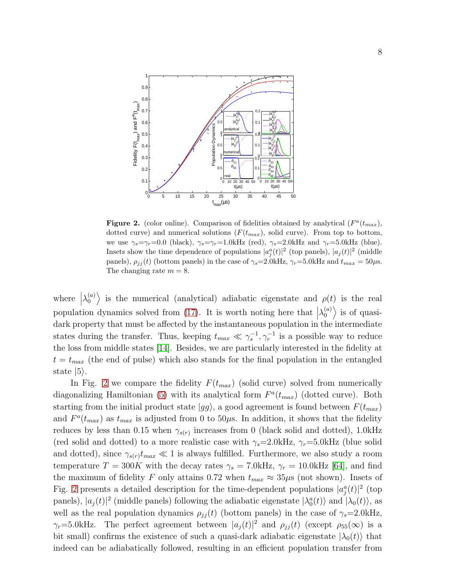

<span id="page-7-0"></span>Figure 2. (color online). Comparison of fidelities obtained by analytical  $(F^a(t_{max}),$ dotted curve) and numerical solutions  $(F(t_{max}),$  solid curve). From top to bottom, we use  $\gamma_s = \gamma_r = 0.0$  (black),  $\gamma_s = \gamma_r = 1.0 \text{kHz}$  (red),  $\gamma_s = 2.0 \text{kHz}$  and  $\gamma_r = 5.0 \text{kHz}$  (blue). Insets show the time dependence of populations  $|a_j^a(t)|^2$  (top panels),  $|a_j(t)|^2$  (middle panels),  $\rho_{jj}(t)$  (bottom panels) in the case of  $\gamma_s=2.0 \text{kHz}$ ,  $\gamma_r=5.0 \text{kHz}$  and  $t_{max}=50 \mu\text{s}$ . The changing rate  $m = 8$ .

where  $\lambda_0^{(a)}$  $\binom{a}{0}$  is the numerical (analytical) adiabatic eigenstate and  $\rho(t)$  is the real population dynamics solved from [\(17\)](#page-6-0). It is worth noting here that  $\lambda_0^{(a)}$  $\binom{a}{0}$  is of quasidark property that must be affected by the instantaneous population in the intermediate states during the transfer. Thus, keeping  $t_{max} \ll \gamma_s^{-1}, \gamma_r^{-1}$  is a possible way to reduce the loss from middle states [\[14\]](#page-13-0). Besides, we are particularly interested in the fidelity at  $t = t_{max}$  (the end of pulse) which also stands for the final population in the entangled state  $|5\rangle$ .

In Fig. [2](#page-7-0) we compare the fidelity  $F(t_{max})$  (solid curve) solved from numerically diagonalizing Hamiltonian [\(5\)](#page-4-0) with its analytical form  $F^a(t_{max})$  (dotted curve). Both starting from the initial product state  $|gg\rangle$ , a good agreement is found between  $F(t_{max})$ and  $F^a(t_{max})$  as  $t_{max}$  is adjusted from 0 to 50 $\mu$ s. In addition, it shows that the fidelity reduces by less than 0.15 when  $\gamma_{s(r)}$  increases from 0 (black solid and dotted), 1.0kHz (red solid and dotted) to a more realistic case with  $\gamma_s=2.0 \text{kHz}$ ,  $\gamma_r=5.0 \text{kHz}$  (blue solid and dotted), since  $\gamma_{s(r)}t_{max} \ll 1$  is always fulfilled. Furthermore, we also study a room temperature  $T = 300K$  with the decay rates  $\gamma_s = 7.0 \text{kHz}, \gamma_r = 10.0 \text{kHz}$  [\[64\]](#page-14-11), and find the maximum of fidelity F only attains 0.72 when  $t_{max} \approx 35 \mu s$  (not shown). Insets of Fig. [2](#page-7-0) presents a detailed description for the time-dependent populations  $|a_j^a(t)|^2$  (top panels),  $|a_j(t)|^2$  (middle panels) following the adiabatic eigenstate  $|\lambda_0^a(t)\rangle$  and  $|\lambda_0(t)\rangle$ , as well as the real population dynamics  $\rho_{ij}(t)$  (bottom panels) in the case of  $\gamma_s=2.0 \text{kHz}$ ,  $\gamma_r=5.0$ kHz. The perfect agreement between  $|a_j(t)|^2$  and  $\rho_{jj}(t)$  (except  $\rho_{55}(\infty)$  is a bit small) confirms the existence of such a quasi-dark adiabatic eigenstate  $|\lambda_0(t)\rangle$  that indeed can be adiabatically followed, resulting in an efficient population transfer from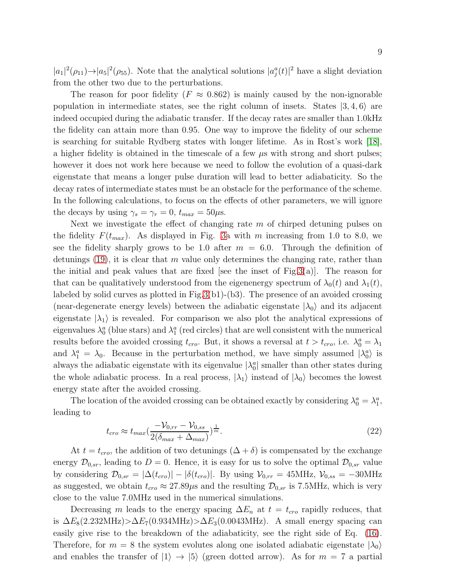$|a_1|^2(\rho_{11}) \rightarrow |a_5|^2(\rho_{55})$ . Note that the analytical solutions  $|a_j^a(t)|^2$  have a slight deviation from the other two due to the perturbations.

The reason for poor fidelity ( $F \approx 0.862$ ) is mainly caused by the non-ignorable population in intermediate states, see the right column of insets. States  $|3, 4, 6\rangle$  are indeed occupied during the adiabatic transfer. If the decay rates are smaller than 1.0kHz the fidelity can attain more than 0.95. One way to improve the fidelity of our scheme is searching for suitable Rydberg states with longer lifetime. As in Rost's work [\[18\]](#page-13-4), a higher fidelity is obtained in the timescale of a few  $\mu$ s with strong and short pulses; however it does not work here because we need to follow the evolution of a quasi-dark eigenstate that means a longer pulse duration will lead to better adiabaticity. So the decay rates of intermediate states must be an obstacle for the performance of the scheme. In the following calculations, to focus on the effects of other parameters, we will ignore the decays by using  $\gamma_s = \gamma_r = 0$ ,  $t_{max} = 50 \mu s$ .

Next we investigate the effect of changing rate  $m$  of chirped detuning pulses on the fidelity  $F(t_{max})$ . As displayed in Fig. [3a](#page-9-0) with m increasing from 1.0 to 8.0, we see the fidelity sharply grows to be 1.0 after  $m = 6.0$ . Through the definition of detunings  $(19)$ , it is clear that m value only determines the changing rate, rather than the initial and peak values that are fixed [see the inset of Fig[.3\(](#page-9-0)a)]. The reason for that can be qualitatively understood from the eigenenergy spectrum of  $\lambda_0(t)$  and  $\lambda_1(t)$ , labeled by solid curves as plotted in Fig[.3\(](#page-9-0)b1)-(b3). The presence of an avoided crossing (near-degenerate energy levels) between the adiabatic eigenstate  $|\lambda_0\rangle$  and its adjacent eigenstate  $|\lambda_1\rangle$  is revealed. For comparison we also plot the analytical expressions of eigenvalues  $\lambda_0^a$  (blue stars) and  $\lambda_1^a$  (red circles) that are well consistent with the numerical results before the avoided crossing  $t_{cro}$ . But, it shows a reversal at  $t > t_{cro}$ , i.e.  $\lambda_0^a = \lambda_1$ and  $\lambda_1^a = \lambda_0$ . Because in the perturbation method, we have simply assumed  $|\lambda_0^a\rangle$  is always the adiabatic eigenstate with its eigenvalue  $|\lambda_0^a|$  smaller than other states during the whole adiabatic process. In a real process,  $|\lambda_1\rangle$  instead of  $|\lambda_0\rangle$  becomes the lowest energy state after the avoided crossing.

The location of the avoided crossing can be obtained exactly by considering  $\lambda_0^a = \lambda_1^a$ , leading to

$$
t_{cro} \approx t_{max} \left(\frac{-\mathcal{V}_{0,rr} - \mathcal{V}_{0,ss}}{2(\delta_{max} + \Delta_{max})}\right)^{\frac{1}{m}}.
$$
\n(22)

At  $t = t_{cro}$ , the addition of two detunings  $(\Delta + \delta)$  is compensated by the exchange energy  $\mathcal{D}_{0,sr}$ , leading to  $D=0$ . Hence, it is easy for us to solve the optimal  $\mathcal{D}_{0,sr}$  value by considering  $\mathcal{D}_{0,sr} = |\Delta(t_{cro})| - |\delta(t_{cro})|$ . By using  $\mathcal{V}_{0,rr} = 45 \text{MHz}, \mathcal{V}_{0,ss} = -30 \text{MHz}$ as suggested, we obtain  $t_{cro} \approx 27.89 \mu s$  and the resulting  $\mathcal{D}_{0,sr}$  is 7.5MHz, which is very close to the value 7.0MHz used in the numerical simulations.

Decreasing m leads to the energy spacing  $\Delta E_n$  at  $t = t_{cro}$  rapidly reduces, that is  $\Delta E_8(2.232 \text{MHz}) > \Delta E_7(0.934 \text{MHz}) > \Delta E_3(0.0043 \text{MHz})$ . A small energy spacing can easily give rise to the breakdown of the adiabaticity, see the right side of Eq. [\(16\)](#page-5-1). Therefore, for  $m = 8$  the system evolutes along one isolated adiabatic eigenstate  $|\lambda_0\rangle$ and enables the transfer of  $|1\rangle \rightarrow |5\rangle$  (green dotted arrow). As for  $m = 7$  a partial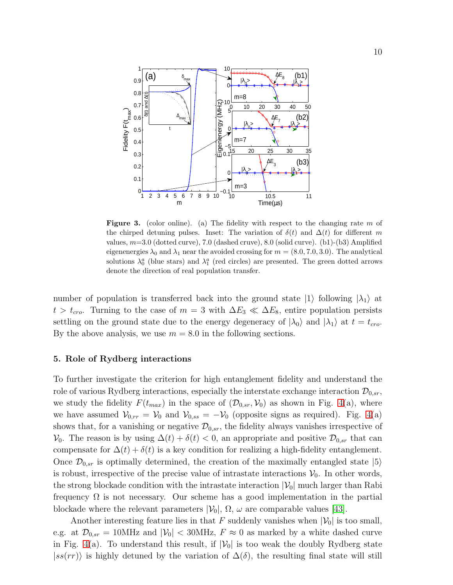

<span id="page-9-0"></span>**Figure 3.** (color online). (a) The fidelity with respect to the changing rate  $m$  of the chirped detuning pulses. Inset: The variation of  $\delta(t)$  and  $\Delta(t)$  for different m values,  $m=3.0$  (dotted curve),  $7.0$  (dashed cruve),  $8.0$  (solid curve). (b1)-(b3) Amplified eigenenergies  $\lambda_0$  and  $\lambda_1$  near the avoided crossing for  $m = (8.0, 7.0, 3.0)$ . The analytical solutions  $\lambda_0^a$  (blue stars) and  $\lambda_1^a$  (red circles) are presented. The green dotted arrows denote the direction of real population transfer.

number of population is transferred back into the ground state  $|1\rangle$  following  $|\lambda_1\rangle$  at  $t > t_{cro}$ . Turning to the case of  $m = 3$  with  $\Delta E_3 \ll \Delta E_8$ , entire population persists settling on the ground state due to the energy degeneracy of  $|\lambda_0\rangle$  and  $|\lambda_1\rangle$  at  $t = t_{cro}$ . By the above analysis, we use  $m = 8.0$  in the following sections.

# 5. Role of Rydberg interactions

To further investigate the criterion for high entanglement fidelity and understand the role of various Rydberg interactions, especially the interstate exchange interaction  $\mathcal{D}_{0,sr}$ , we study the fidelity  $F(t_{max})$  in the space of  $(\mathcal{D}_{0,sr}, \mathcal{V}_0)$  as shown in Fig. [4\(](#page-10-0)a), where we have assumed  $V_{0,rr} = V_0$  and  $V_{0,ss} = -V_0$  (opposite signs as required). Fig. [4\(](#page-10-0)a) shows that, for a vanishing or negative  $\mathcal{D}_{0,sr}$ , the fidelity always vanishes irrespective of  $\mathcal{V}_0$ . The reason is by using  $\Delta(t) + \delta(t) < 0$ , an appropriate and positive  $\mathcal{D}_{0,sr}$  that can compensate for  $\Delta(t) + \delta(t)$  is a key condition for realizing a high-fidelity entanglement. Once  $\mathcal{D}_{0,sr}$  is optimally determined, the creation of the maximally entangled state  $|5\rangle$ is robust, irrespective of the precise value of intrastate interactions  $V_0$ . In other words, the strong blockade condition with the intrastate interaction  $|\mathcal{V}_0|$  much larger than Rabi frequency  $\Omega$  is not necessary. Our scheme has a good implementation in the partial blockade where the relevant parameters  $|\mathcal{V}_0|, \Omega, \omega$  are comparable values [\[43\]](#page-13-29).

Another interesting feature lies in that F suddenly vanishes when  $|\mathcal{V}_0|$  is too small, e.g. at  $\mathcal{D}_{0,sr} = 10 \text{MHz}$  and  $|\mathcal{V}_0| < 30 \text{MHz}$ ,  $F \approx 0$  as marked by a white dashed curve in Fig. [4\(](#page-10-0)a). To understand this result, if  $|\mathcal{V}_0|$  is too weak the doubly Rydberg state  $|ss(rr)\rangle$  is highly detuned by the variation of  $\Delta(\delta)$ , the resulting final state will still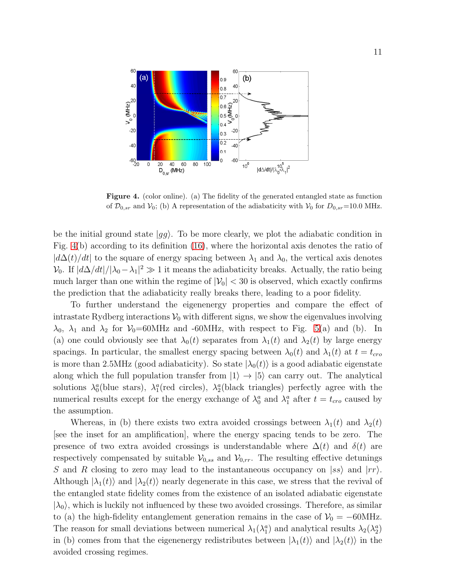

<span id="page-10-0"></span>Figure 4. (color online). (a) The fidelity of the generated entangled state as function of  $\mathcal{D}_{0,sr}$  and  $\mathcal{V}_0$ ; (b) A representation of the adiabaticity with  $\mathcal{V}_0$  for  $D_{0,sr}=10.0$  MHz.

be the initial ground state  $|gg\rangle$ . To be more clearly, we plot the adiabatic condition in Fig. [4\(](#page-10-0)b) according to its definition [\(16\)](#page-5-1), where the horizontal axis denotes the ratio of  $|d\Delta(t)/dt|$  to the square of energy spacing between  $\lambda_1$  and  $\lambda_0$ , the vertical axis denotes  $\mathcal{V}_0$ . If  $\left| d\Delta/dt \right| / |\lambda_0 - \lambda_1|^2 \gg 1$  it means the adiabaticity breaks. Actually, the ratio being much larger than one within the regime of  $|\mathcal{V}_0| < 30$  is observed, which exactly confirms the prediction that the adiabaticity really breaks there, leading to a poor fidelity.

To further understand the eigenenergy properties and compare the effect of intrastate Rydberg interactions  $V_0$  with different signs, we show the eigenvalues involving  $\lambda_0$ ,  $\lambda_1$  and  $\lambda_2$  for  $\mathcal{V}_0$ =60MHz and -60MHz, with respect to Fig. [5\(](#page-11-0)a) and (b). In (a) one could obviously see that  $\lambda_0(t)$  separates from  $\lambda_1(t)$  and  $\lambda_2(t)$  by large energy spacings. In particular, the smallest energy spacing between  $\lambda_0(t)$  and  $\lambda_1(t)$  at  $t = t_{cro}$ is more than 2.5MHz (good adiabaticity). So state  $|\lambda_0(t)\rangle$  is a good adiabatic eigenstate along which the full population transfer from  $|1\rangle \rightarrow |5\rangle$  can carry out. The analytical solutions  $\lambda_0^a$ (blue stars),  $\lambda_1^a$ (red circles),  $\lambda_2^a$ (black triangles) perfectly agree with the numerical results except for the energy exchange of  $\lambda_0^a$  and  $\lambda_1^a$  after  $t = t_{cro}$  caused by the assumption.

Whereas, in (b) there exists two extra avoided crossings between  $\lambda_1(t)$  and  $\lambda_2(t)$ [see the inset for an amplification], where the energy spacing tends to be zero. The presence of two extra avoided crossings is understandable where  $\Delta(t)$  and  $\delta(t)$  are respectively compensated by suitable  $\mathcal{V}_{0,ss}$  and  $\mathcal{V}_{0,rr}$ . The resulting effective detunings S and R closing to zero may lead to the instantaneous occupancy on  $|ss\rangle$  and  $|rr\rangle$ . Although  $|\lambda_1(t)\rangle$  and  $|\lambda_2(t)\rangle$  nearly degenerate in this case, we stress that the revival of the entangled state fidelity comes from the existence of an isolated adiabatic eigenstate  $|\lambda_0\rangle$ , which is luckily not influenced by these two avoided crossings. Therefore, as similar to (a) the high-fidelity entanglement generation remains in the case of  $\mathcal{V}_0 = -60MHz$ . The reason for small deviations between numerical  $\lambda_1(\lambda_1^a)$  and analytical results  $\lambda_2(\lambda_2^a)$ in (b) comes from that the eigenenergy redistributes between  $|\lambda_1(t)\rangle$  and  $|\lambda_2(t)\rangle$  in the avoided crossing regimes.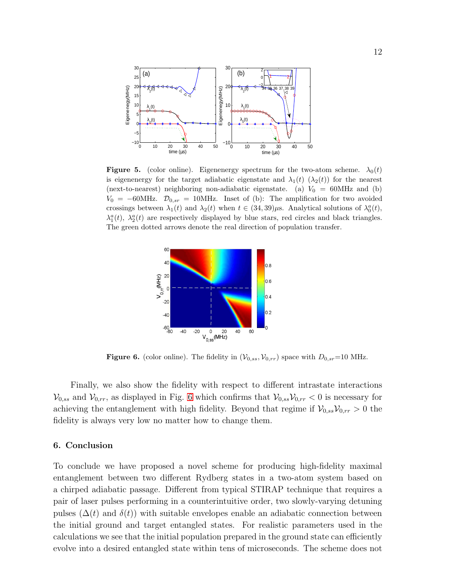

<span id="page-11-0"></span>**Figure 5.** (color online). Eigenenergy spectrum for the two-atom scheme.  $\lambda_0(t)$ is eigenenergy for the target adiabatic eigenstate and  $\lambda_1(t)$  ( $\lambda_2(t)$ ) for the nearest (next-to-nearest) neighboring non-adiabatic eigenstate. (a)  $V_0 = 60 MHz$  and (b)  $V_0 = -60$ MHz.  $\mathcal{D}_{0,sr} = 10$ MHz. Inset of (b): The amplification for two avoided crossings between  $\lambda_1(t)$  and  $\lambda_2(t)$  when  $t \in (34, 39)\mu$ s. Analytical solutions of  $\lambda_0^a(t)$ ,  $\lambda_1^a(t)$ ,  $\lambda_2^a(t)$  are respectively displayed by blue stars, red circles and black triangles. The green dotted arrows denote the real direction of population transfer.



<span id="page-11-1"></span>**Figure 6.** (color online). The fidelity in  $(\mathcal{V}_{0,ss}, \mathcal{V}_{0,rr})$  space with  $D_{0,sr}=10$  MHz.

Finally, we also show the fidelity with respect to different intrastate interactions  $V_{0,ss}$  and  $V_{0,rr}$ , as displayed in Fig. [6](#page-11-1) which confirms that  $V_{0,ss}V_{0,rr} < 0$  is necessary for achieving the entanglement with high fidelity. Beyond that regime if  $V_{0,ss}V_{0,rr} > 0$  the fidelity is always very low no matter how to change them.

## 6. Conclusion

To conclude we have proposed a novel scheme for producing high-fidelity maximal entanglement between two different Rydberg states in a two-atom system based on a chirped adiabatic passage. Different from typical STIRAP technique that requires a pair of laser pulses performing in a counterintuitive order, two slowly-varying detuning pulses  $(\Delta(t)$  and  $\delta(t)$ ) with suitable envelopes enable an adiabatic connection between the initial ground and target entangled states. For realistic parameters used in the calculations we see that the initial population prepared in the ground state can efficiently evolve into a desired entangled state within tens of microseconds. The scheme does not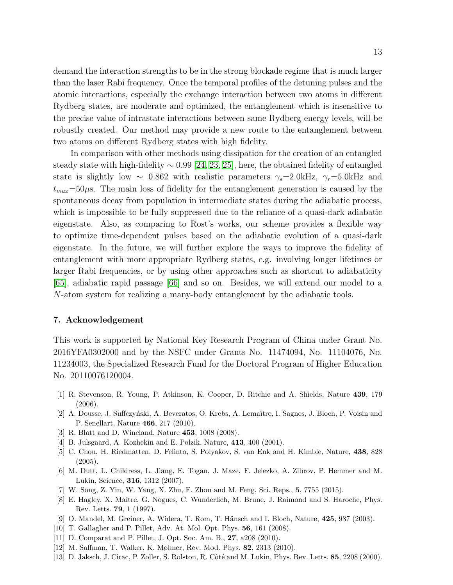demand the interaction strengths to be in the strong blockade regime that is much larger than the laser Rabi frequency. Once the temporal profiles of the detuning pulses and the atomic interactions, especially the exchange interaction between two atoms in different Rydberg states, are moderate and optimized, the entanglement which is insensitive to the precise value of intrastate interactions between same Rydberg energy levels, will be robustly created. Our method may provide a new route to the entanglement between two atoms on different Rydberg states with high fidelity.

In comparison with other methods using dissipation for the creation of an entangled steady state with high-fidelity  $\sim 0.99$  [\[24,](#page-13-10) [23,](#page-13-9) [25\]](#page-13-11), here, the obtained fidelity of entangled state is slightly low ~ 0.862 with realistic parameters  $\gamma_s = 2.0 \text{kHz}$ ,  $\gamma_r = 5.0 \text{kHz}$  and  $t_{max}=50\mu$ s. The main loss of fidelity for the entanglement generation is caused by the spontaneous decay from population in intermediate states during the adiabatic process, which is impossible to be fully suppressed due to the reliance of a quasi-dark adiabatic eigenstate. Also, as comparing to Rost's works, our scheme provides a flexible way to optimize time-dependent pulses based on the adiabatic evolution of a quasi-dark eigenstate. In the future, we will further explore the ways to improve the fidelity of entanglement with more appropriate Rydberg states, e.g. involving longer lifetimes or larger Rabi frequencies, or by using other approaches such as shortcut to adiabaticity [\[65\]](#page-14-12), adiabatic rapid passage [\[66\]](#page-14-13) and so on. Besides, we will extend our model to a N-atom system for realizing a many-body entanglement by the adiabatic tools.

#### 7. Acknowledgement

This work is supported by National Key Research Program of China under Grant No. 2016YFA0302000 and by the NSFC under Grants No. 11474094, No. 11104076, No. 11234003, the Specialized Research Fund for the Doctoral Program of Higher Education No. 20110076120004.

- <span id="page-12-0"></span>[1] R. Stevenson, R. Young, P. Atkinson, K. Cooper, D. Ritchie and A. Shields, Nature 439, 179 (2006).
- <span id="page-12-2"></span><span id="page-12-1"></span>[2] A. Dousse, J. Suffczyński, A. Beveratos, O. Krebs, A. Lemaître, I. Sagnes, J. Bloch, P. Voisin and P. Senellart, Nature 466, 217 (2010).
- <span id="page-12-3"></span>[3] R. Blatt and D. Wineland, Nature 453, 1008 (2008).
- <span id="page-12-4"></span>[4] B. Julsgaard, A. Kozhekin and E. Polzik, Nature, 413, 400 (2001).
- [5] C. Chou, H. Riedmatten, D. Felinto, S. Polyakov, S. van Enk and H. Kimble, Nature, 438, 828  $(2005).$
- <span id="page-12-5"></span>[6] M. Dutt, L. Childress, L. Jiang, E. Togan, J. Maze, F. Jelezko, A. Zibrov, P. Hemmer and M. Lukin, Science, 316, 1312 (2007).
- <span id="page-12-7"></span><span id="page-12-6"></span>[7] W. Song, Z. Yin, W. Yang, X. Zhu, F. Zhou and M. Feng, Sci. Reps., 5, 7755 (2015).
- [8] E. Hagley, X. Maître, G. Nogues, C. Wunderlich, M. Brune, J. Raimond and S. Haroche, Phys. Rev. Letts. 79, 1 (1997).
- <span id="page-12-9"></span><span id="page-12-8"></span>[9] O. Mandel, M. Greiner, A. Widera, T. Rom, T. Hänsch and I. Bloch, Nature, 425, 937 (2003).
- <span id="page-12-10"></span>[10] T. Gallagher and P. Pillet, Adv. At. Mol. Opt. Phys. 56, 161 (2008).
- <span id="page-12-11"></span>[11] D. Comparat and P. Pillet, J. Opt. Soc. Am. B., 27, a208 (2010).
- <span id="page-12-12"></span>[12] M. Saffman, T. Walker, K. Mølmer, Rev. Mod. Phys. 82, 2313 (2010).
- [13] D. Jaksch, J. Cirac, P. Zoller, S. Rolston, R. Côté and M. Lukin, Phys. Rev. Letts. 85, 2208 (2000).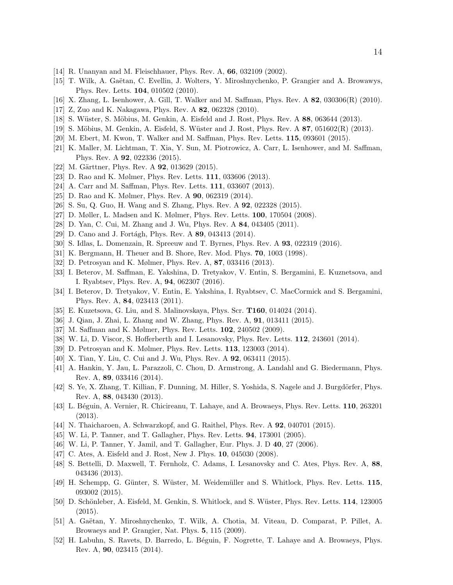- <span id="page-13-1"></span><span id="page-13-0"></span>[14] R. Unanyan and M. Fleischhauer, Phys. Rev. A, 66, 032109 (2002).
- <span id="page-13-2"></span>[15] T. Wilk, A. Gaëtan, C. Evellin, J. Wolters, Y. Miroshnychenko, P. Grangier and A. Browawys, Phys. Rev. Letts. 104, 010502 (2010).
- <span id="page-13-3"></span>[16] X. Zhang, L. Isenhower, A. Gill, T. Walker and M. Saffman, Phys. Rev. A 82, 030306(R) (2010).
- <span id="page-13-4"></span>[17] Z, Zuo and K. Nakagawa, Phys. Rev. A 82, 062328 (2010).
- <span id="page-13-5"></span>[18] S. Wüster, S. Möbius, M. Genkin, A. Eisfeld and J. Rost, Phys. Rev. A 88, 063644 (2013).
- <span id="page-13-6"></span>[19] S. Möbius, M. Genkin, A. Eisfeld, S. Wüster and J. Rost, Phys. Rev.  $\mathbf{A}$  87, 051602(R) (2013).
- <span id="page-13-7"></span>[20] M. Ebert, M. Kwon, T. Walker and M. Saffman, Phys. Rev. Letts. 115, 093601 (2015).
- <span id="page-13-8"></span>[21] K. Maller, M. Lichtman, T. Xia, Y. Sun, M. Piotrowicz, A. Carr, L. Isenhower, and M. Saffman, Phys. Rev. A 92, 022336 (2015).
- <span id="page-13-9"></span>[22] M. Gärttner, Phys. Rev. A **92**, 013629 (2015).
- <span id="page-13-10"></span>[23] D. Rao and K. Mølmer, Phys. Rev. Letts. **111**, 033606 (2013).
- <span id="page-13-11"></span>[24] A. Carr and M. Saffman, Phys. Rev. Letts. **111**, 033607 (2013).
- <span id="page-13-12"></span>[25] D. Rao and K. Mølmer, Phys. Rev. A **90**, 062319 (2014).
- <span id="page-13-13"></span>[26] S. Su, Q. Guo, H. Wang and S. Zhang, Phys. Rev. A 92, 022328 (2015).
- <span id="page-13-14"></span>[27] D. Møller, L. Madsen and K. Mølmer, Phys. Rev. Letts. 100, 170504 (2008).
- <span id="page-13-15"></span>[28] D. Yan, C. Cui, M. Zhang and J. Wu, Phys. Rev. A 84, 043405 (2011).
- <span id="page-13-16"></span>[29] D. Cano and J. Fortágh, Phys. Rev. A 89, 043413 (2014).
- <span id="page-13-17"></span>[30] S. Idlas, L. Domenzain, R. Spreeuw and T. Byrnes, Phys. Rev. A 93, 022319 (2016).
- <span id="page-13-18"></span>[31] K. Bergmann, H. Theuer and B. Shore, Rev. Mod. Phys. 70, 1003 (1998).
- <span id="page-13-19"></span>[32] D. Petrosyan and K. Mølmer, Phys. Rev. A, 87, 033416 (2013).
- [33] I. Beterov, M. Saffman, E. Yakshina, D. Tretyakov, V. Entin, S. Bergamini, E. Kuznetsova, and I. Ryabtsev, Phys. Rev. A, 94, 062307 (2016).
- <span id="page-13-20"></span>[34] I. Beterov, D. Tretyakov, V. Entin, E. Yakshina, I. Ryabtsev, C. MacCormick and S. Bergamini, Phys. Rev. A, 84, 023413 (2011).
- <span id="page-13-22"></span><span id="page-13-21"></span>[35] E. Kuzetsova, G. Liu, and S. Malinovskaya, Phys. Scr. T160, 014024 (2014).
- <span id="page-13-23"></span>[36] J. Qian, J. Zhai, L. Zhang and W. Zhang, Phys. Rev. A, 91, 013411 (2015).
- <span id="page-13-24"></span>[37] M. Saffman and K. Mølmer, Phys. Rev. Letts. 102, 240502 (2009).
- <span id="page-13-25"></span>[38] W. Li, D. Viscor, S. Hofferberth and I. Lesanovsky, Phys. Rev. Letts. 112, 243601 (2014).
- <span id="page-13-26"></span>[39] D. Petrosyan and K. Mølmer, Phys. Rev. Letts. 113, 123003 (2014).
- <span id="page-13-27"></span>[40] X. Tian, Y. Liu, C. Cui and J. Wu, Phys. Rev. A 92, 063411 (2015).
- [41] A. Hankin, Y. Jau, L. Parazzoli, C. Chou, D. Armstrong, A. Landahl and G. Biedermann, Phys. Rev. A, 89, 033416 (2014).
- <span id="page-13-28"></span>[42] S. Ye, X. Zhang, T. Killian, F. Dunning, M. Hiller, S. Yoshida, S. Nagele and J. Burgdörfer, Phys. Rev. A, 88, 043430 (2013).
- <span id="page-13-29"></span>[43] L. Béguin, A. Vernier, R. Chicireanu, T. Lahaye, and A. Browaeys, Phys. Rev. Letts. 110, 263201 (2013).
- <span id="page-13-31"></span><span id="page-13-30"></span>[44] N. Thaicharoen, A. Schwarzkopf, and G. Raithel, Phys. Rev. A 92, 040701 (2015).
- <span id="page-13-32"></span>[45] W. Li, P. Tanner, and T. Gallagher, Phys. Rev. Letts. **94**, 173001 (2005).
- <span id="page-13-33"></span>[46] W. Li, P. Tanner, Y. Jamil, and T. Gallagher, Eur. Phys. J. D 40, 27 (2006).
- <span id="page-13-34"></span>[47] C. Ates, A. Eisfeld and J. Rost, New J. Phys. **10**, 045030 (2008).
- [48] S. Bettelli, D. Maxwell, T. Fernholz, C. Adams, I. Lesanovsky and C. Ates, Phys. Rev. A, 88, 043436 (2013).
- <span id="page-13-35"></span>[49] H. Schempp, G. Günter, S. Wüster, M. Weidemüller and S. Whitlock, Phys. Rev. Letts. 115, 093002 (2015).
- <span id="page-13-36"></span>[50] D. Schönleber, A. Eisfeld, M. Genkin, S. Whitlock, and S. Wüster, Phys. Rev. Letts. 114, 123005 (2015).
- <span id="page-13-37"></span>[51] A. Gaëtan, Y. Miroshnychenko, T. Wilk, A. Chotia, M. Viteau, D. Comparat, P. Pillet, A. Browaeys and P. Grangier, Nat. Phys. 5, 115 (2009).
- <span id="page-13-38"></span>[52] H. Labuhn, S. Ravets, D. Barredo, L. Béguin, F. Nogrette, T. Lahaye and A. Browaeys, Phys. Rev. A, 90, 023415 (2014).